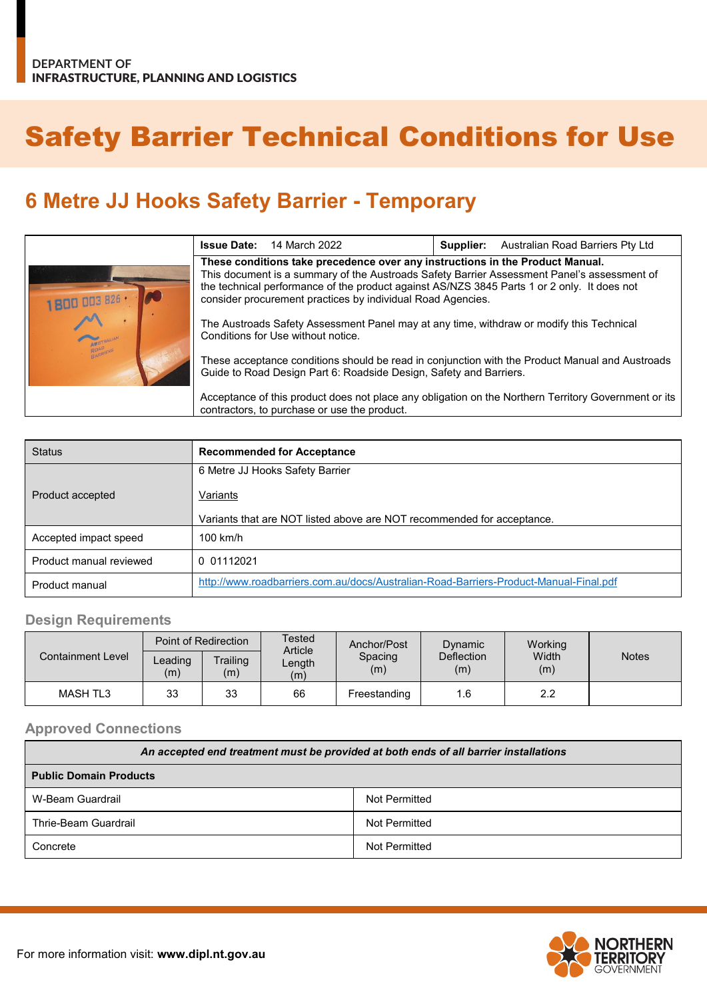# Safety Barrier Technical Conditions for Use

## **6 Metre JJ Hooks Safety Barrier - Temporary**

|                           | <b>Issue Date:</b><br>14 March 2022                                                                                                                                                                                                                                                                                                        | Australian Road Barriers Pty Ltd<br>Supplier:                                                        |  |
|---------------------------|--------------------------------------------------------------------------------------------------------------------------------------------------------------------------------------------------------------------------------------------------------------------------------------------------------------------------------------------|------------------------------------------------------------------------------------------------------|--|
| <b>DE</b><br>1800 003 826 | These conditions take precedence over any instructions in the Product Manual.<br>This document is a summary of the Austroads Safety Barrier Assessment Panel's assessment of<br>the technical performance of the product against AS/NZS 3845 Parts 1 or 2 only. It does not<br>consider procurement practices by individual Road Agencies. |                                                                                                      |  |
|                           | The Austroads Safety Assessment Panel may at any time, withdraw or modify this Technical<br>Conditions for Use without notice.                                                                                                                                                                                                             |                                                                                                      |  |
| ARRIERA                   | These acceptance conditions should be read in conjunction with the Product Manual and Austroads<br>Guide to Road Design Part 6: Roadside Design, Safety and Barriers.                                                                                                                                                                      |                                                                                                      |  |
|                           | contractors, to purchase or use the product.                                                                                                                                                                                                                                                                                               | Acceptance of this product does not place any obligation on the Northern Territory Government or its |  |

| <b>Status</b>           | <b>Recommended for Acceptance</b>                                                     |  |  |
|-------------------------|---------------------------------------------------------------------------------------|--|--|
|                         | 6 Metre JJ Hooks Safety Barrier                                                       |  |  |
| Product accepted        | Variants                                                                              |  |  |
|                         | Variants that are NOT listed above are NOT recommended for acceptance.                |  |  |
| Accepted impact speed   | $100$ km/h                                                                            |  |  |
| Product manual reviewed | 0 01112021                                                                            |  |  |
| Product manual          | http://www.roadbarriers.com.au/docs/Australian-Road-Barriers-Product-Manual-Final.pdf |  |  |

#### **Design Requirements**

| <b>Containment Level</b> | Point of Redirection |                 | Tested<br>Article | Anchor/Post    | Dynamic                  | Working      |              |
|--------------------------|----------------------|-----------------|-------------------|----------------|--------------------------|--------------|--------------|
|                          | $L$ eading<br>(m)    | Trailing<br>(m) | Length<br>(m)     | Spacing<br>(m) | <b>Deflection</b><br>(m) | Width<br>(m) | <b>Notes</b> |
| <b>MASH TL3</b>          | 33                   | 33              | 66                | Freestanding   | 1.6                      | 2.2          |              |

#### **Approved Connections**

| An accepted end treatment must be provided at both ends of all barrier installations |               |  |  |  |
|--------------------------------------------------------------------------------------|---------------|--|--|--|
| <b>Public Domain Products</b>                                                        |               |  |  |  |
| W-Beam Guardrail                                                                     | Not Permitted |  |  |  |
| Thrie-Beam Guardrail                                                                 | Not Permitted |  |  |  |
| Not Permitted<br>Concrete                                                            |               |  |  |  |

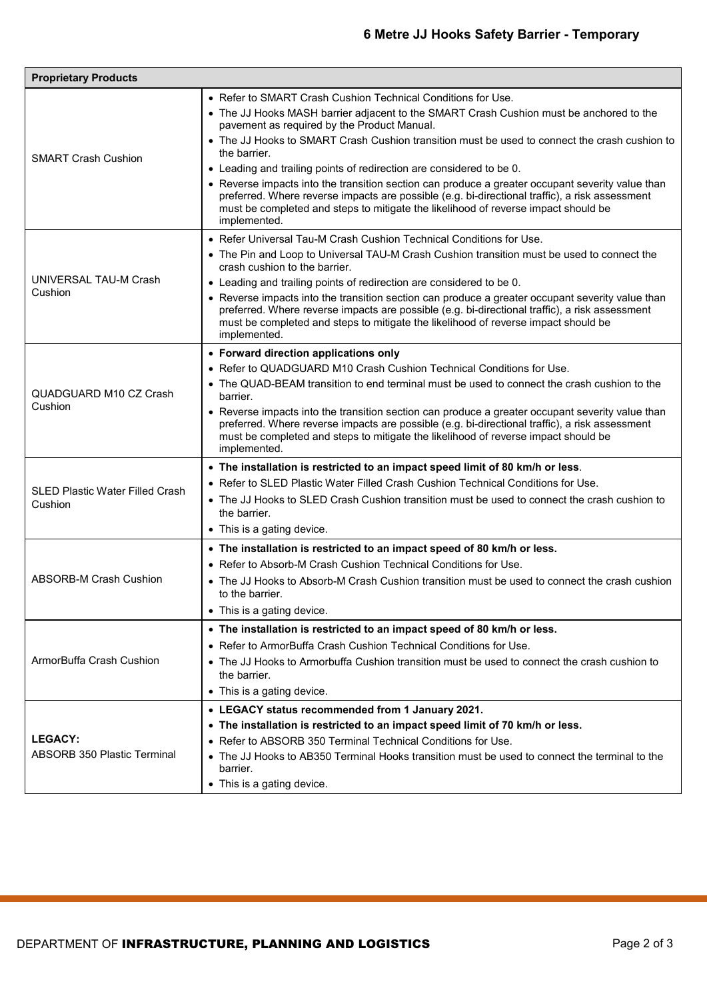| <b>Proprietary Products</b>                          |                                                                                                                                                                                                                                                                                                                                                                                                                                                                                                                                                                                                                                                                                                             |  |  |
|------------------------------------------------------|-------------------------------------------------------------------------------------------------------------------------------------------------------------------------------------------------------------------------------------------------------------------------------------------------------------------------------------------------------------------------------------------------------------------------------------------------------------------------------------------------------------------------------------------------------------------------------------------------------------------------------------------------------------------------------------------------------------|--|--|
| <b>SMART Crash Cushion</b>                           | • Refer to SMART Crash Cushion Technical Conditions for Use.<br>• The JJ Hooks MASH barrier adjacent to the SMART Crash Cushion must be anchored to the<br>pavement as required by the Product Manual.<br>• The JJ Hooks to SMART Crash Cushion transition must be used to connect the crash cushion to<br>the barrier.<br>• Leading and trailing points of redirection are considered to be 0.<br>• Reverse impacts into the transition section can produce a greater occupant severity value than<br>preferred. Where reverse impacts are possible (e.g. bi-directional traffic), a risk assessment<br>must be completed and steps to mitigate the likelihood of reverse impact should be<br>implemented. |  |  |
| UNIVERSAL TAU-M Crash<br>Cushion                     | • Refer Universal Tau-M Crash Cushion Technical Conditions for Use.<br>• The Pin and Loop to Universal TAU-M Crash Cushion transition must be used to connect the<br>crash cushion to the barrier.<br>• Leading and trailing points of redirection are considered to be 0.<br>• Reverse impacts into the transition section can produce a greater occupant severity value than<br>preferred. Where reverse impacts are possible (e.g. bi-directional traffic), a risk assessment<br>must be completed and steps to mitigate the likelihood of reverse impact should be<br>implemented.                                                                                                                      |  |  |
| QUADGUARD M10 CZ Crash<br>Cushion                    | • Forward direction applications only<br>• Refer to QUADGUARD M10 Crash Cushion Technical Conditions for Use.<br>• The QUAD-BEAM transition to end terminal must be used to connect the crash cushion to the<br>barrier.<br>• Reverse impacts into the transition section can produce a greater occupant severity value than<br>preferred. Where reverse impacts are possible (e.g. bi-directional traffic), a risk assessment<br>must be completed and steps to mitigate the likelihood of reverse impact should be<br>implemented.                                                                                                                                                                        |  |  |
| <b>SLED Plastic Water Filled Crash</b><br>Cushion    | • The installation is restricted to an impact speed limit of 80 km/h or less.<br>• Refer to SLED Plastic Water Filled Crash Cushion Technical Conditions for Use.<br>• The JJ Hooks to SLED Crash Cushion transition must be used to connect the crash cushion to<br>the barrier.<br>• This is a gating device.                                                                                                                                                                                                                                                                                                                                                                                             |  |  |
| ABSORB-M Crash Cushion                               | • The installation is restricted to an impact speed of 80 km/h or less.<br>• Refer to Absorb-M Crash Cushion Technical Conditions for Use.<br>• The JJ Hooks to Absorb-M Crash Cushion transition must be used to connect the crash cushion<br>to the barrier.<br>• This is a gating device.                                                                                                                                                                                                                                                                                                                                                                                                                |  |  |
| ArmorBuffa Crash Cushion                             | • The installation is restricted to an impact speed of 80 km/h or less.<br>• Refer to ArmorBuffa Crash Cushion Technical Conditions for Use.<br>• The JJ Hooks to Armorbuffa Cushion transition must be used to connect the crash cushion to<br>the barrier.<br>• This is a gating device.                                                                                                                                                                                                                                                                                                                                                                                                                  |  |  |
| <b>LEGACY:</b><br><b>ABSORB 350 Plastic Terminal</b> | • LEGACY status recommended from 1 January 2021.<br>• The installation is restricted to an impact speed limit of 70 km/h or less.<br>• Refer to ABSORB 350 Terminal Technical Conditions for Use.<br>• The JJ Hooks to AB350 Terminal Hooks transition must be used to connect the terminal to the<br>barrier.<br>• This is a gating device.                                                                                                                                                                                                                                                                                                                                                                |  |  |